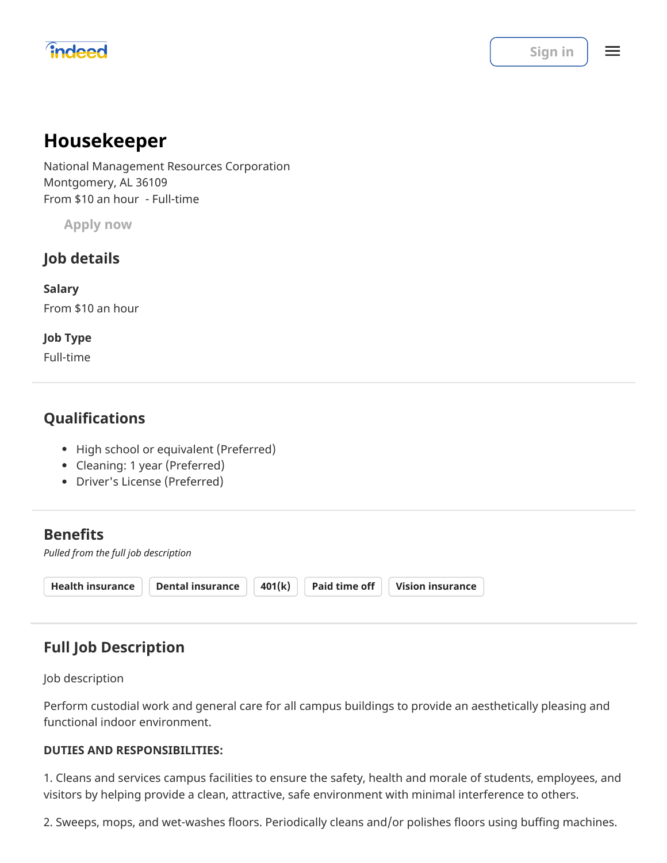# *<u>indeed</u>*</u>

 $\equiv$ 

# **Housekeeper**

National Management Resources Corporation Montgomery, AL 36109 From \$10 an hour - Full-time

**Apply now**

## **Job details**

**Salary** From \$10 an hour

### **Job Type**

Full-time

## **Qualifications**

- High school or equivalent (Preferred)
- Cleaning: 1 year (Preferred)
- Driver's License (Preferred)

## **Benefits**

*Pulled from the full job description*

| $Health$ insurance $\parallel$ |  | Dental insurance $  401(k)  $ Paid time off $  $ Vision insurance |
|--------------------------------|--|-------------------------------------------------------------------|
|                                |  |                                                                   |

# **Full Job Description**

Job description

Perform custodial work and general care for all campus buildings to provide an aesthetically pleasing and functional indoor environment.

### **DUTIES AND RESPONSIBILITIES:**

1. Cleans and services campus facilities to ensure the safety, health and morale of students, employees, and visitors by helping provide a clean, attractive, safe environment with minimal interference to others.

2. Sweeps, mops, and wet-washes floors. Periodically cleans and/or polishes floors using buffing machines.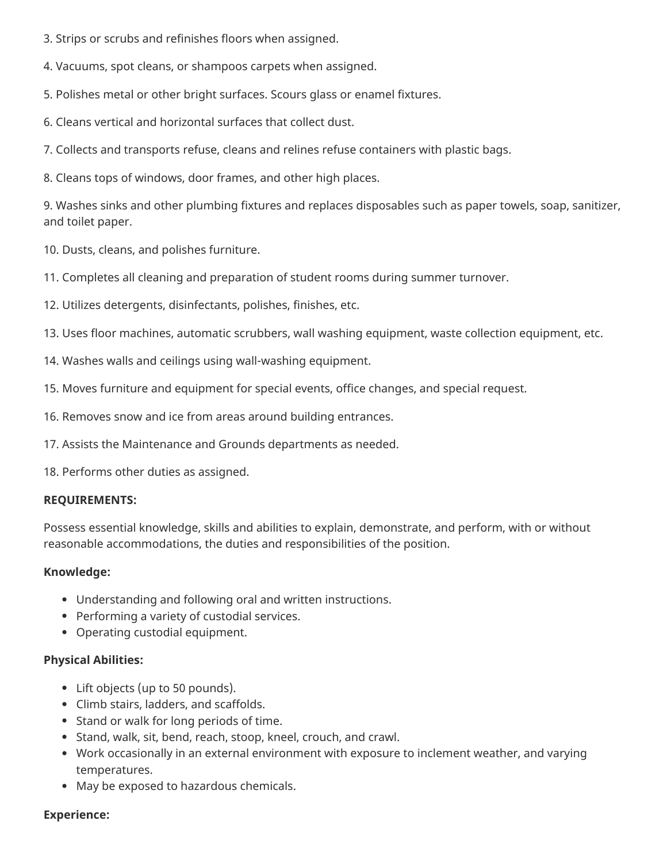- 3. Strips or scrubs and refinishes floors when assigned.
- 4. Vacuums, spot cleans, or shampoos carpets when assigned.
- 5. Polishes metal or other bright surfaces. Scours glass or enamel fixtures.
- 6. Cleans vertical and horizontal surfaces that collect dust.
- 7. Collects and transports refuse, cleans and relines refuse containers with plastic bags.
- 8. Cleans tops of windows, door frames, and other high places.

9. Washes sinks and other plumbing fixtures and replaces disposables such as paper towels, soap, sanitizer, and toilet paper.

10. Dusts, cleans, and polishes furniture.

- 11. Completes all cleaning and preparation of student rooms during summer turnover.
- 12. Utilizes detergents, disinfectants, polishes, finishes, etc.
- 13. Uses floor machines, automatic scrubbers, wall washing equipment, waste collection equipment, etc.
- 14. Washes walls and ceilings using wall-washing equipment.
- 15. Moves furniture and equipment for special events, office changes, and special request.
- 16. Removes snow and ice from areas around building entrances.
- 17. Assists the Maintenance and Grounds departments as needed.

18. Performs other duties as assigned.

#### **REQUIREMENTS:**

Possess essential knowledge, skills and abilities to explain, demonstrate, and perform, with or without reasonable accommodations, the duties and responsibilities of the position.

#### **Knowledge:**

- Understanding and following oral and written instructions.
- Performing a variety of custodial services.
- Operating custodial equipment.

#### **Physical Abilities:**

- Lift objects (up to 50 pounds).
- Climb stairs, ladders, and scaffolds.
- Stand or walk for long periods of time.
- Stand, walk, sit, bend, reach, stoop, kneel, crouch, and crawl.
- Work occasionally in an external environment with exposure to inclement weather, and varying temperatures.
- May be exposed to hazardous chemicals.

#### **Experience:**